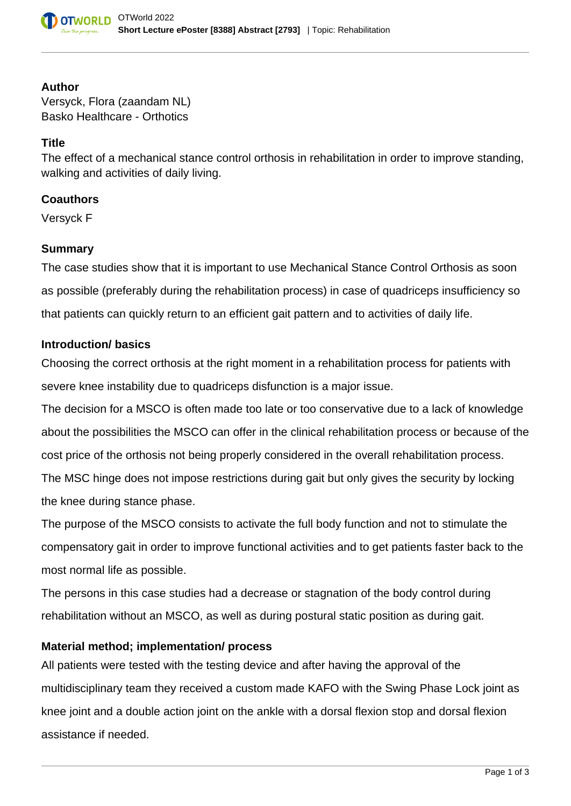

#### **Author**

Versyck, Flora (zaandam NL) Basko Healthcare - Orthotics

### **Title**

The effect of a mechanical stance control orthosis in rehabilitation in order to improve standing, walking and activities of daily living.

## **Coauthors**

Versyck F

#### **Summary**

The case studies show that it is important to use Mechanical Stance Control Orthosis as soon as possible (preferably during the rehabilitation process) in case of quadriceps insufficiency so that patients can quickly return to an efficient gait pattern and to activities of daily life.

#### **Introduction/ basics**

Choosing the correct orthosis at the right moment in a rehabilitation process for patients with severe knee instability due to quadriceps disfunction is a major issue.

The decision for a MSCO is often made too late or too conservative due to a lack of knowledge about the possibilities the MSCO can offer in the clinical rehabilitation process or because of the cost price of the orthosis not being properly considered in the overall rehabilitation process. The MSC hinge does not impose restrictions during gait but only gives the security by locking the knee during stance phase.

The purpose of the MSCO consists to activate the full body function and not to stimulate the compensatory gait in order to improve functional activities and to get patients faster back to the most normal life as possible.

The persons in this case studies had a decrease or stagnation of the body control during rehabilitation without an MSCO, as well as during postural static position as during gait.

## **Material method; implementation/ process**

All patients were tested with the testing device and after having the approval of the multidisciplinary team they received a custom made KAFO with the Swing Phase Lock joint as knee joint and a double action joint on the ankle with a dorsal flexion stop and dorsal flexion assistance if needed.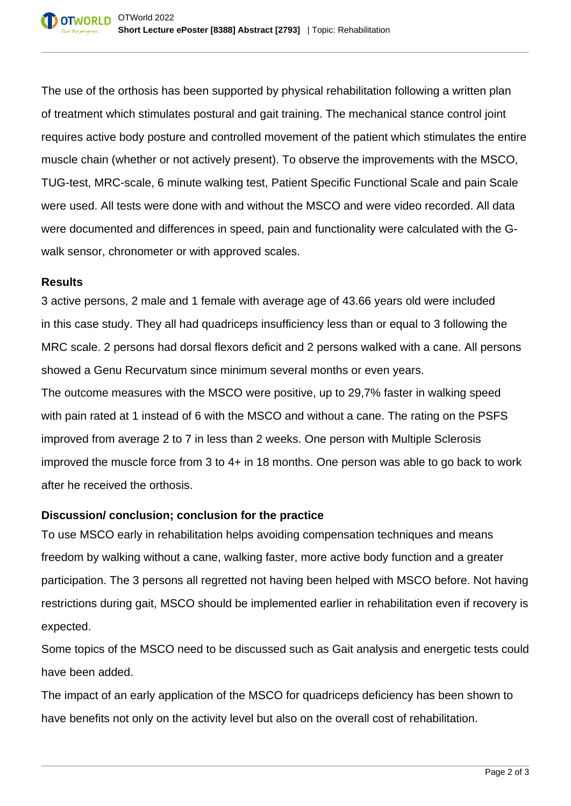The use of the orthosis has been supported by physical rehabilitation following a written plan of treatment which stimulates postural and gait training. The mechanical stance control joint requires active body posture and controlled movement of the patient which stimulates the entire muscle chain (whether or not actively present). To observe the improvements with the MSCO, TUG-test, MRC-scale, 6 minute walking test, Patient Specific Functional Scale and pain Scale were used. All tests were done with and without the MSCO and were video recorded. All data were documented and differences in speed, pain and functionality were calculated with the Gwalk sensor, chronometer or with approved scales.

## **Results**

3 active persons, 2 male and 1 female with average age of 43.66 years old were included in this case study. They all had quadriceps insufficiency less than or equal to 3 following the MRC scale. 2 persons had dorsal flexors deficit and 2 persons walked with a cane. All persons showed a Genu Recurvatum since minimum several months or even years. The outcome measures with the MSCO were positive, up to 29,7% faster in walking speed with pain rated at 1 instead of 6 with the MSCO and without a cane. The rating on the PSFS improved from average 2 to 7 in less than 2 weeks. One person with Multiple Sclerosis improved the muscle force from 3 to 4+ in 18 months. One person was able to go back to work after he received the orthosis.

# **Discussion/ conclusion; conclusion for the practice**

To use MSCO early in rehabilitation helps avoiding compensation techniques and means freedom by walking without a cane, walking faster, more active body function and a greater participation. The 3 persons all regretted not having been helped with MSCO before. Not having restrictions during gait, MSCO should be implemented earlier in rehabilitation even if recovery is expected.

Some topics of the MSCO need to be discussed such as Gait analysis and energetic tests could have been added.

The impact of an early application of the MSCO for quadriceps deficiency has been shown to have benefits not only on the activity level but also on the overall cost of rehabilitation.